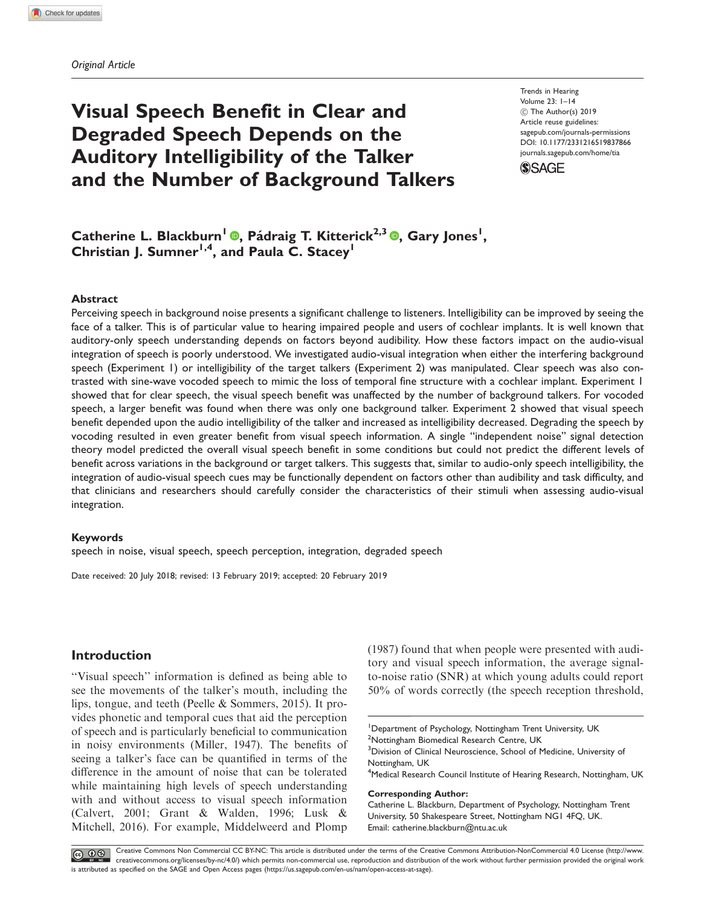Original Article

# Visual Speech Benefit in Clear and Degraded Speech Depends on the Auditory Intelligibility of the Talker and the Number of Background Talkers

Trends in Hearing Volume 23: 1–14  $©$  The Author(s) 2019 Article reuse guidelines: [sagepub.com/journals-permissions](https://uk.sagepub.com/en-gb/journals-permissions) DOI: [10.1177/2331216519837866](https://doi.org/10.1177/2331216519837866) <journals.sagepub.com/home/tia>



Catherine L. Blackburn<sup>l</sup> ©[,](http://orcid.org/0000-0001-8383-5318) Pádraig T. Kitterick<sup>2,3</sup> ©, Gary Jones<sup>1</sup>, Christian J. Sumner<sup>1,4</sup>, and Paula C. Stacey<sup>1</sup>

#### Abstract

Perceiving speech in background noise presents a significant challenge to listeners. Intelligibility can be improved by seeing the face of a talker. This is of particular value to hearing impaired people and users of cochlear implants. It is well known that auditory-only speech understanding depends on factors beyond audibility. How these factors impact on the audio-visual integration of speech is poorly understood. We investigated audio-visual integration when either the interfering background speech (Experiment 1) or intelligibility of the target talkers (Experiment 2) was manipulated. Clear speech was also contrasted with sine-wave vocoded speech to mimic the loss of temporal fine structure with a cochlear implant. Experiment 1 showed that for clear speech, the visual speech benefit was unaffected by the number of background talkers. For vocoded speech, a larger benefit was found when there was only one background talker. Experiment 2 showed that visual speech benefit depended upon the audio intelligibility of the talker and increased as intelligibility decreased. Degrading the speech by vocoding resulted in even greater benefit from visual speech information. A single ''independent noise'' signal detection theory model predicted the overall visual speech benefit in some conditions but could not predict the different levels of benefit across variations in the background or target talkers. This suggests that, similar to audio-only speech intelligibility, the integration of audio-visual speech cues may be functionally dependent on factors other than audibility and task difficulty, and that clinicians and researchers should carefully consider the characteristics of their stimuli when assessing audio-visual integration.

#### Keywords

speech in noise, visual speech, speech perception, integration, degraded speech

Date received: 20 July 2018; revised: 13 February 2019; accepted: 20 February 2019

# Introduction

''Visual speech'' information is defined as being able to see the movements of the talker's mouth, including the lips, tongue, and teeth (Peelle & Sommers, 2015). It provides phonetic and temporal cues that aid the perception of speech and is particularly beneficial to communication in noisy environments (Miller, 1947). The benefits of seeing a talker's face can be quantified in terms of the difference in the amount of noise that can be tolerated while maintaining high levels of speech understanding with and without access to visual speech information (Calvert, 2001; Grant & Walden, 1996; Lusk & Mitchell, 2016). For example, Middelweerd and Plomp

(1987) found that when people were presented with auditory and visual speech information, the average signalto-noise ratio (SNR) at which young adults could report 50% of words correctly (the speech reception threshold,

<sup>3</sup>Division of Clinical Neuroscience, School of Medicine, University of Nottingham, UK

<sup>4</sup>Medical Research Council Institute of Hearing Research, Nottingham, UK

Corresponding Author:

Catherine L. Blackburn, Department of Psychology, Nottingham Trent University, 50 Shakespeare Street, Nottingham NG1 4FQ, UK. Email: catherine.blackburn@ntu.ac.uk

Creative Commons Non Commercial CC BY-NC: This article is distributed under the terms of the Creative Commons Attribution-NonCommercial 4.0 License [\(http://www.](#page-13-0)<br>[creativecommons.org/licenses/by-nc/4.0/\)](#page-13-0) which permits non-co is attributed as specified on the SAGE and Open Access pages [\(https://us.sagepub.com/en-us/nam/open-access-at-sage\)](#page-13-0).

<sup>&</sup>lt;sup>1</sup>Department of Psychology, Nottingham Trent University, UK <sup>2</sup>Nottingham Biomedical Research Centre, UK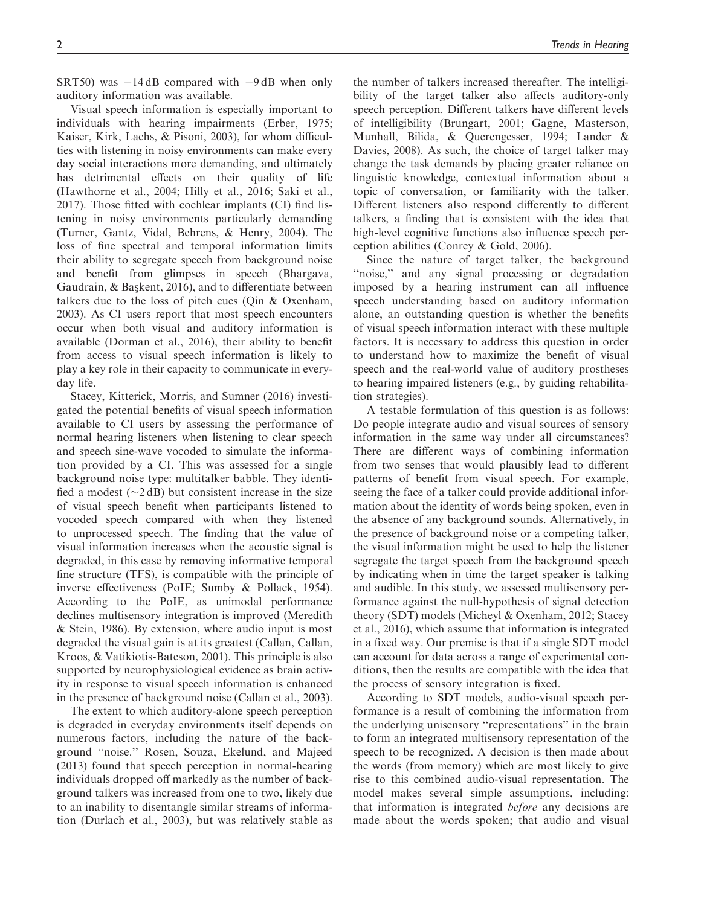SRT50) was  $-14$  dB compared with  $-9$  dB when only auditory information was available.

Visual speech information is especially important to individuals with hearing impairments (Erber, 1975; Kaiser, Kirk, Lachs, & Pisoni, 2003), for whom difficulties with listening in noisy environments can make every day social interactions more demanding, and ultimately has detrimental effects on their quality of life (Hawthorne et al., 2004; Hilly et al., 2016; Saki et al., 2017). Those fitted with cochlear implants (CI) find listening in noisy environments particularly demanding (Turner, Gantz, Vidal, Behrens, & Henry, 2004). The loss of fine spectral and temporal information limits their ability to segregate speech from background noise and benefit from glimpses in speech (Bhargava, Gaudrain, & Başkent, 2016), and to differentiate between talkers due to the loss of pitch cues (Qin & Oxenham, 2003). As CI users report that most speech encounters occur when both visual and auditory information is available (Dorman et al., 2016), their ability to benefit from access to visual speech information is likely to play a key role in their capacity to communicate in everyday life.

Stacey, Kitterick, Morris, and Sumner (2016) investigated the potential benefits of visual speech information available to CI users by assessing the performance of normal hearing listeners when listening to clear speech and speech sine-wave vocoded to simulate the information provided by a CI. This was assessed for a single background noise type: multitalker babble. They identified a modest  $(\sim 2 \text{ dB})$  but consistent increase in the size of visual speech benefit when participants listened to vocoded speech compared with when they listened to unprocessed speech. The finding that the value of visual information increases when the acoustic signal is degraded, in this case by removing informative temporal fine structure (TFS), is compatible with the principle of inverse effectiveness (PoIE; Sumby & Pollack, 1954). According to the PoIE, as unimodal performance declines multisensory integration is improved (Meredith & Stein, 1986). By extension, where audio input is most degraded the visual gain is at its greatest (Callan, Callan, Kroos, & Vatikiotis-Bateson, 2001). This principle is also supported by neurophysiological evidence as brain activity in response to visual speech information is enhanced in the presence of background noise (Callan et al., 2003).

The extent to which auditory-alone speech perception is degraded in everyday environments itself depends on numerous factors, including the nature of the background ''noise.'' Rosen, Souza, Ekelund, and Majeed (2013) found that speech perception in normal-hearing individuals dropped off markedly as the number of background talkers was increased from one to two, likely due to an inability to disentangle similar streams of information (Durlach et al., 2003), but was relatively stable as the number of talkers increased thereafter. The intelligibility of the target talker also affects auditory-only speech perception. Different talkers have different levels of intelligibility (Brungart, 2001; Gagne, Masterson, Munhall, Bilida, & Querengesser, 1994; Lander & Davies, 2008). As such, the choice of target talker may change the task demands by placing greater reliance on linguistic knowledge, contextual information about a topic of conversation, or familiarity with the talker. Different listeners also respond differently to different talkers, a finding that is consistent with the idea that high-level cognitive functions also influence speech perception abilities (Conrey & Gold, 2006).

Since the nature of target talker, the background ''noise,'' and any signal processing or degradation imposed by a hearing instrument can all influence speech understanding based on auditory information alone, an outstanding question is whether the benefits of visual speech information interact with these multiple factors. It is necessary to address this question in order to understand how to maximize the benefit of visual speech and the real-world value of auditory prostheses to hearing impaired listeners (e.g., by guiding rehabilitation strategies).

A testable formulation of this question is as follows: Do people integrate audio and visual sources of sensory information in the same way under all circumstances? There are different ways of combining information from two senses that would plausibly lead to different patterns of benefit from visual speech. For example, seeing the face of a talker could provide additional information about the identity of words being spoken, even in the absence of any background sounds. Alternatively, in the presence of background noise or a competing talker, the visual information might be used to help the listener segregate the target speech from the background speech by indicating when in time the target speaker is talking and audible. In this study, we assessed multisensory performance against the null-hypothesis of signal detection theory (SDT) models (Micheyl & Oxenham, 2012; Stacey et al., 2016), which assume that information is integrated in a fixed way. Our premise is that if a single SDT model can account for data across a range of experimental conditions, then the results are compatible with the idea that the process of sensory integration is fixed.

According to SDT models, audio-visual speech performance is a result of combining the information from the underlying unisensory ''representations'' in the brain to form an integrated multisensory representation of the speech to be recognized. A decision is then made about the words (from memory) which are most likely to give rise to this combined audio-visual representation. The model makes several simple assumptions, including: that information is integrated before any decisions are made about the words spoken; that audio and visual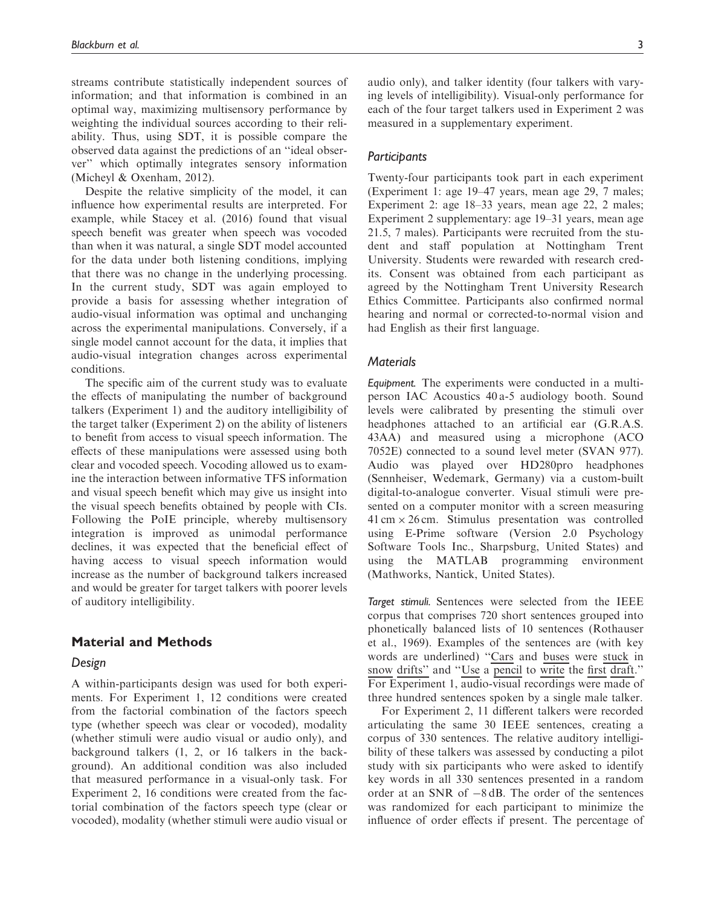streams contribute statistically independent sources of information; and that information is combined in an optimal way, maximizing multisensory performance by weighting the individual sources according to their reliability. Thus, using SDT, it is possible compare the observed data against the predictions of an ''ideal observer'' which optimally integrates sensory information (Micheyl & Oxenham, 2012).

Despite the relative simplicity of the model, it can influence how experimental results are interpreted. For example, while Stacey et al. (2016) found that visual speech benefit was greater when speech was vocoded than when it was natural, a single SDT model accounted for the data under both listening conditions, implying that there was no change in the underlying processing. In the current study, SDT was again employed to provide a basis for assessing whether integration of audio-visual information was optimal and unchanging across the experimental manipulations. Conversely, if a single model cannot account for the data, it implies that audio-visual integration changes across experimental conditions.

The specific aim of the current study was to evaluate the effects of manipulating the number of background talkers (Experiment 1) and the auditory intelligibility of the target talker (Experiment 2) on the ability of listeners to benefit from access to visual speech information. The effects of these manipulations were assessed using both clear and vocoded speech. Vocoding allowed us to examine the interaction between informative TFS information and visual speech benefit which may give us insight into the visual speech benefits obtained by people with CIs. Following the PoIE principle, whereby multisensory integration is improved as unimodal performance declines, it was expected that the beneficial effect of having access to visual speech information would increase as the number of background talkers increased and would be greater for target talkers with poorer levels of auditory intelligibility.

# Material and Methods

## Design

A within-participants design was used for both experiments. For Experiment 1, 12 conditions were created from the factorial combination of the factors speech type (whether speech was clear or vocoded), modality (whether stimuli were audio visual or audio only), and background talkers (1, 2, or 16 talkers in the background). An additional condition was also included that measured performance in a visual-only task. For Experiment 2, 16 conditions were created from the factorial combination of the factors speech type (clear or vocoded), modality (whether stimuli were audio visual or audio only), and talker identity (four talkers with varying levels of intelligibility). Visual-only performance for each of the four target talkers used in Experiment 2 was measured in a supplementary experiment.

# **Participants**

Twenty-four participants took part in each experiment (Experiment 1: age 19–47 years, mean age 29, 7 males; Experiment 2: age 18–33 years, mean age 22, 2 males; Experiment 2 supplementary: age 19–31 years, mean age 21.5, 7 males). Participants were recruited from the student and staff population at Nottingham Trent University. Students were rewarded with research credits. Consent was obtained from each participant as agreed by the Nottingham Trent University Research Ethics Committee. Participants also confirmed normal hearing and normal or corrected-to-normal vision and had English as their first language.

#### Materials

Equipment. The experiments were conducted in a multiperson IAC Acoustics 40 a-5 audiology booth. Sound levels were calibrated by presenting the stimuli over headphones attached to an artificial ear (G.R.A.S. 43AA) and measured using a microphone (ACO 7052E) connected to a sound level meter (SVAN 977). Audio was played over HD280pro headphones (Sennheiser, Wedemark, Germany) via a custom-built digital-to-analogue converter. Visual stimuli were presented on a computer monitor with a screen measuring  $41 \text{ cm} \times 26 \text{ cm}$ . Stimulus presentation was controlled using E-Prime software (Version 2.0 Psychology Software Tools Inc., Sharpsburg, United States) and using the MATLAB programming environment (Mathworks, Nantick, United States).

Target stimuli. Sentences were selected from the IEEE corpus that comprises 720 short sentences grouped into phonetically balanced lists of 10 sentences (Rothauser et al., 1969). Examples of the sentences are (with key words are underlined) ''Cars and buses were stuck in snow drifts'' and ''Use a pencil to write the first draft.'' For Experiment 1, audio-visual recordings were made of three hundred sentences spoken by a single male talker.

For Experiment 2, 11 different talkers were recorded articulating the same 30 IEEE sentences, creating a corpus of 330 sentences. The relative auditory intelligibility of these talkers was assessed by conducting a pilot study with six participants who were asked to identify key words in all 330 sentences presented in a random order at an SNR of  $-8$  dB. The order of the sentences was randomized for each participant to minimize the influence of order effects if present. The percentage of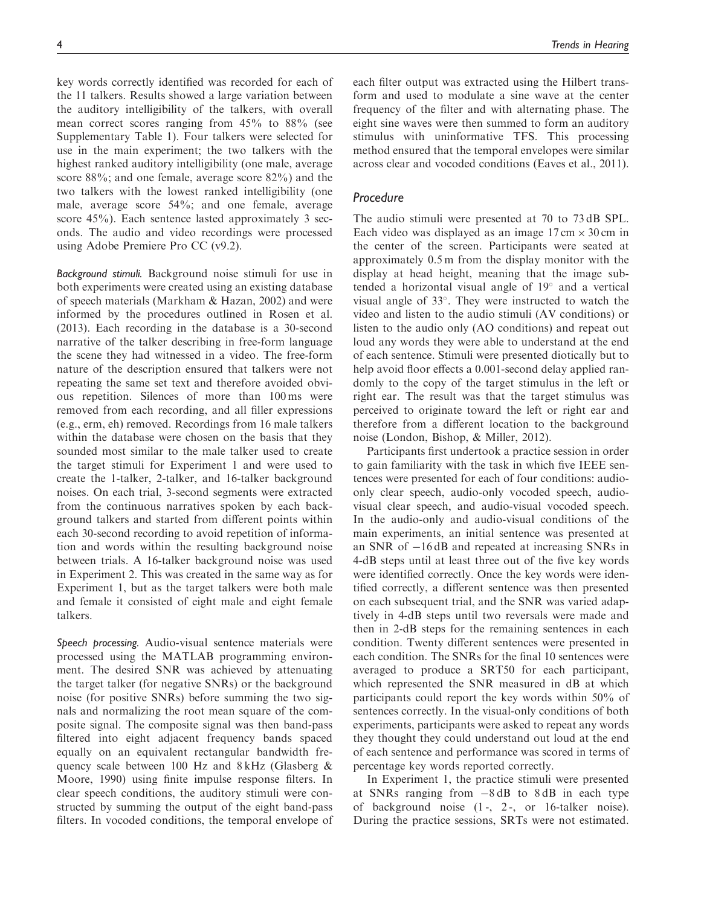key words correctly identified was recorded for each of the 11 talkers. Results showed a large variation between the auditory intelligibility of the talkers, with overall mean correct scores ranging from 45% to 88% (see Supplementary Table 1). Four talkers were selected for use in the main experiment; the two talkers with the highest ranked auditory intelligibility (one male, average score 88%; and one female, average score 82%) and the two talkers with the lowest ranked intelligibility (one male, average score 54%; and one female, average score 45%). Each sentence lasted approximately 3 seconds. The audio and video recordings were processed using Adobe Premiere Pro CC (v9.2).

Background stimuli. Background noise stimuli for use in both experiments were created using an existing database of speech materials (Markham & Hazan, 2002) and were informed by the procedures outlined in Rosen et al. (2013). Each recording in the database is a 30-second narrative of the talker describing in free-form language the scene they had witnessed in a video. The free-form nature of the description ensured that talkers were not repeating the same set text and therefore avoided obvious repetition. Silences of more than 100 ms were removed from each recording, and all filler expressions (e.g., erm, eh) removed. Recordings from 16 male talkers within the database were chosen on the basis that they sounded most similar to the male talker used to create the target stimuli for Experiment 1 and were used to create the 1-talker, 2-talker, and 16-talker background noises. On each trial, 3-second segments were extracted from the continuous narratives spoken by each background talkers and started from different points within each 30-second recording to avoid repetition of information and words within the resulting background noise between trials. A 16-talker background noise was used in Experiment 2. This was created in the same way as for Experiment 1, but as the target talkers were both male and female it consisted of eight male and eight female talkers.

Speech processing. Audio-visual sentence materials were processed using the MATLAB programming environment. The desired SNR was achieved by attenuating the target talker (for negative SNRs) or the background noise (for positive SNRs) before summing the two signals and normalizing the root mean square of the composite signal. The composite signal was then band-pass filtered into eight adjacent frequency bands spaced equally on an equivalent rectangular bandwidth frequency scale between 100 Hz and 8 kHz (Glasberg & Moore, 1990) using finite impulse response filters. In clear speech conditions, the auditory stimuli were constructed by summing the output of the eight band-pass filters. In vocoded conditions, the temporal envelope of each filter output was extracted using the Hilbert transform and used to modulate a sine wave at the center frequency of the filter and with alternating phase. The eight sine waves were then summed to form an auditory stimulus with uninformative TFS. This processing method ensured that the temporal envelopes were similar across clear and vocoded conditions (Eaves et al., 2011).

# Procedure

The audio stimuli were presented at 70 to 73 dB SPL. Each video was displayed as an image  $17 \text{ cm} \times 30 \text{ cm}$  in the center of the screen. Participants were seated at approximately 0.5 m from the display monitor with the display at head height, meaning that the image subtended a horizontal visual angle of  $19^{\circ}$  and a vertical visual angle of  $33^\circ$ . They were instructed to watch the video and listen to the audio stimuli (AV conditions) or listen to the audio only (AO conditions) and repeat out loud any words they were able to understand at the end of each sentence. Stimuli were presented diotically but to help avoid floor effects a 0.001-second delay applied randomly to the copy of the target stimulus in the left or right ear. The result was that the target stimulus was perceived to originate toward the left or right ear and therefore from a different location to the background noise (London, Bishop, & Miller, 2012).

Participants first undertook a practice session in order to gain familiarity with the task in which five IEEE sentences were presented for each of four conditions: audioonly clear speech, audio-only vocoded speech, audiovisual clear speech, and audio-visual vocoded speech. In the audio-only and audio-visual conditions of the main experiments, an initial sentence was presented at an SNR of -16 dB and repeated at increasing SNRs in 4-dB steps until at least three out of the five key words were identified correctly. Once the key words were identified correctly, a different sentence was then presented on each subsequent trial, and the SNR was varied adaptively in 4-dB steps until two reversals were made and then in 2-dB steps for the remaining sentences in each condition. Twenty different sentences were presented in each condition. The SNRs for the final 10 sentences were averaged to produce a SRT50 for each participant, which represented the SNR measured in dB at which participants could report the key words within 50% of sentences correctly. In the visual-only conditions of both experiments, participants were asked to repeat any words they thought they could understand out loud at the end of each sentence and performance was scored in terms of percentage key words reported correctly.

In Experiment 1, the practice stimuli were presented at SNRs ranging from  $-8$  dB to  $8$  dB in each type of background noise (1 -, 2 -, or 16-talker noise). During the practice sessions, SRTs were not estimated.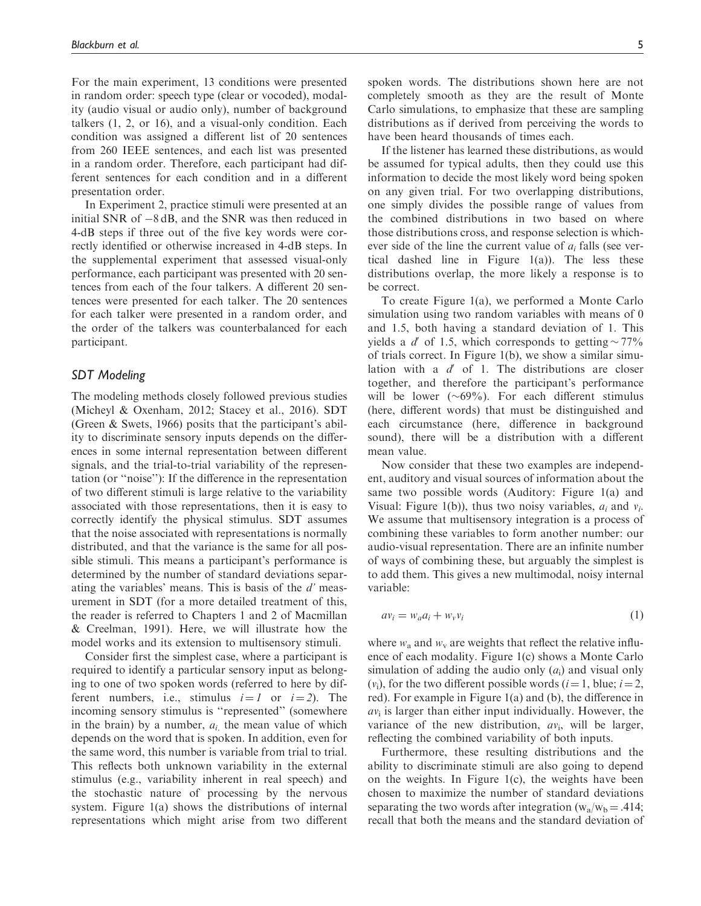For the main experiment, 13 conditions were presented in random order: speech type (clear or vocoded), modality (audio visual or audio only), number of background talkers (1, 2, or 16), and a visual-only condition. Each condition was assigned a different list of 20 sentences from 260 IEEE sentences, and each list was presented in a random order. Therefore, each participant had different sentences for each condition and in a different presentation order.

In Experiment 2, practice stimuli were presented at an initial SNR of -8 dB, and the SNR was then reduced in 4-dB steps if three out of the five key words were correctly identified or otherwise increased in 4-dB steps. In the supplemental experiment that assessed visual-only performance, each participant was presented with 20 sentences from each of the four talkers. A different 20 sentences were presented for each talker. The 20 sentences for each talker were presented in a random order, and the order of the talkers was counterbalanced for each participant.

## SDT Modeling

The modeling methods closely followed previous studies (Micheyl & Oxenham, 2012; Stacey et al., 2016). SDT (Green & Swets, 1966) posits that the participant's ability to discriminate sensory inputs depends on the differences in some internal representation between different signals, and the trial-to-trial variability of the representation (or ''noise''): If the difference in the representation of two different stimuli is large relative to the variability associated with those representations, then it is easy to correctly identify the physical stimulus. SDT assumes that the noise associated with representations is normally distributed, and that the variance is the same for all possible stimuli. This means a participant's performance is determined by the number of standard deviations separating the variables' means. This is basis of the  $d'$  measurement in SDT (for a more detailed treatment of this, the reader is referred to Chapters 1 and 2 of Macmillan & Creelman, 1991). Here, we will illustrate how the model works and its extension to multisensory stimuli.

Consider first the simplest case, where a participant is required to identify a particular sensory input as belonging to one of two spoken words (referred to here by different numbers, i.e., stimulus  $i = 1$  or  $i = 2$ ). The incoming sensory stimulus is ''represented'' (somewhere in the brain) by a number,  $a_i$ , the mean value of which depends on the word that is spoken. In addition, even for the same word, this number is variable from trial to trial. This reflects both unknown variability in the external stimulus (e.g., variability inherent in real speech) and the stochastic nature of processing by the nervous system. Figure 1(a) shows the distributions of internal representations which might arise from two different have been heard thousands of times each. If the listener has learned these distributions, as would be assumed for typical adults, then they could use this information to decide the most likely word being spoken on any given trial. For two overlapping distributions, one simply divides the possible range of values from the combined distributions in two based on where those distributions cross, and response selection is whichever side of the line the current value of  $a_i$  falls (see vertical dashed line in Figure  $1(a)$ ). The less these distributions overlap, the more likely a response is to be correct.

To create Figure 1(a), we performed a Monte Carlo simulation using two random variables with means of 0 and 1.5, both having a standard deviation of 1. This yields a d' of 1.5, which corresponds to getting  $\sim$  77% of trials correct. In Figure 1(b), we show a similar simulation with a  $d'$  of 1. The distributions are closer together, and therefore the participant's performance will be lower  $(\sim 69\%)$ . For each different stimulus (here, different words) that must be distinguished and each circumstance (here, difference in background sound), there will be a distribution with a different mean value.

Now consider that these two examples are independent, auditory and visual sources of information about the same two possible words (Auditory: Figure 1(a) and Visual: Figure 1(b)), thus two noisy variables,  $a_i$  and  $v_i$ . We assume that multisensory integration is a process of combining these variables to form another number: our audio-visual representation. There are an infinite number of ways of combining these, but arguably the simplest is to add them. This gives a new multimodal, noisy internal variable:

$$
av_i = w_a a_i + w_v v_i \tag{1}
$$

where  $w_a$  and  $w_v$  are weights that reflect the relative influence of each modality. Figure 1(c) shows a Monte Carlo simulation of adding the audio only  $(a_i)$  and visual only  $(v_i)$ , for the two different possible words  $(i = 1,$  blue;  $i = 2$ , red). For example in Figure 1(a) and (b), the difference in  $av_i$  is larger than either input individually. However, the variance of the new distribution,  $av_i$ , will be larger, reflecting the combined variability of both inputs.

Furthermore, these resulting distributions and the ability to discriminate stimuli are also going to depend on the weights. In Figure 1(c), the weights have been chosen to maximize the number of standard deviations separating the two words after integration ( $w_a/w_b = .414$ ; recall that both the means and the standard deviation of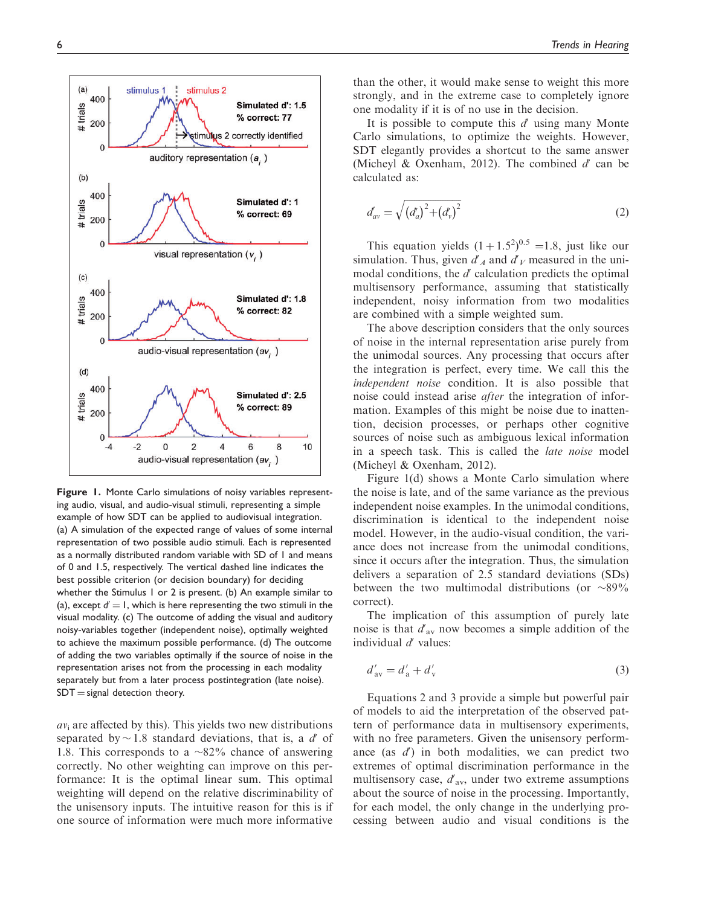

Figure 1. Monte Carlo simulations of noisy variables representing audio, visual, and audio-visual stimuli, representing a simple example of how SDT can be applied to audiovisual integration. (a) A simulation of the expected range of values of some internal representation of two possible audio stimuli. Each is represented as a normally distributed random variable with SD of 1 and means of 0 and 1.5, respectively. The vertical dashed line indicates the best possible criterion (or decision boundary) for deciding whether the Stimulus 1 or 2 is present. (b) An example similar to (a), except  $d' = 1$ , which is here representing the two stimuli in the visual modality. (c) The outcome of adding the visual and auditory noisy-variables together (independent noise), optimally weighted to achieve the maximum possible performance. (d) The outcome of adding the two variables optimally if the source of noise in the representation arises not from the processing in each modality separately but from a later process postintegration (late noise).  $SDT =$  signal detection theory.

 $av_i$  are affected by this). This yields two new distributions separated by  $\sim$  1.8 standard deviations, that is, a d' of 1.8. This corresponds to a  $\sim 82\%$  chance of answering correctly. No other weighting can improve on this performance: It is the optimal linear sum. This optimal weighting will depend on the relative discriminability of the unisensory inputs. The intuitive reason for this is if one source of information were much more informative than the other, it would make sense to weight this more strongly, and in the extreme case to completely ignore one modality if it is of no use in the decision.

It is possible to compute this  $d'$  using many Monte Carlo simulations, to optimize the weights. However, SDT elegantly provides a shortcut to the same answer (Micheyl & Oxenham, 2012). The combined  $d'$  can be calculated as:

$$
d'_{av} = \sqrt{(d'_a)^2 + (d'_v)^2}
$$
 (2)

This equation yields  $(1+1.5^2)^{0.5}$  =1.8, just like our simulation. Thus, given  $d'_{A}$  and  $d'_{V}$  measured in the unimodal conditions, the  $d'$  calculation predicts the optimal multisensory performance, assuming that statistically independent, noisy information from two modalities are combined with a simple weighted sum.

The above description considers that the only sources of noise in the internal representation arise purely from the unimodal sources. Any processing that occurs after the integration is perfect, every time. We call this the independent noise condition. It is also possible that noise could instead arise after the integration of information. Examples of this might be noise due to inattention, decision processes, or perhaps other cognitive sources of noise such as ambiguous lexical information in a speech task. This is called the late noise model (Micheyl & Oxenham, 2012).

Figure 1(d) shows a Monte Carlo simulation where the noise is late, and of the same variance as the previous independent noise examples. In the unimodal conditions, discrimination is identical to the independent noise model. However, in the audio-visual condition, the variance does not increase from the unimodal conditions, since it occurs after the integration. Thus, the simulation delivers a separation of 2.5 standard deviations (SDs) between the two multimodal distributions (or  $\sim 89\%$ ) correct).

The implication of this assumption of purely late noise is that  $d'_{av}$  now becomes a simple addition of the individual  $d'$  values:

$$
d'_{\rm av} = d'_{\rm a} + d'_{\rm v} \tag{3}
$$

Equations 2 and 3 provide a simple but powerful pair of models to aid the interpretation of the observed pattern of performance data in multisensory experiments, with no free parameters. Given the unisensory performance (as  $d'$ ) in both modalities, we can predict two extremes of optimal discrimination performance in the multisensory case,  $d'_{av}$ , under two extreme assumptions about the source of noise in the processing. Importantly, for each model, the only change in the underlying processing between audio and visual conditions is the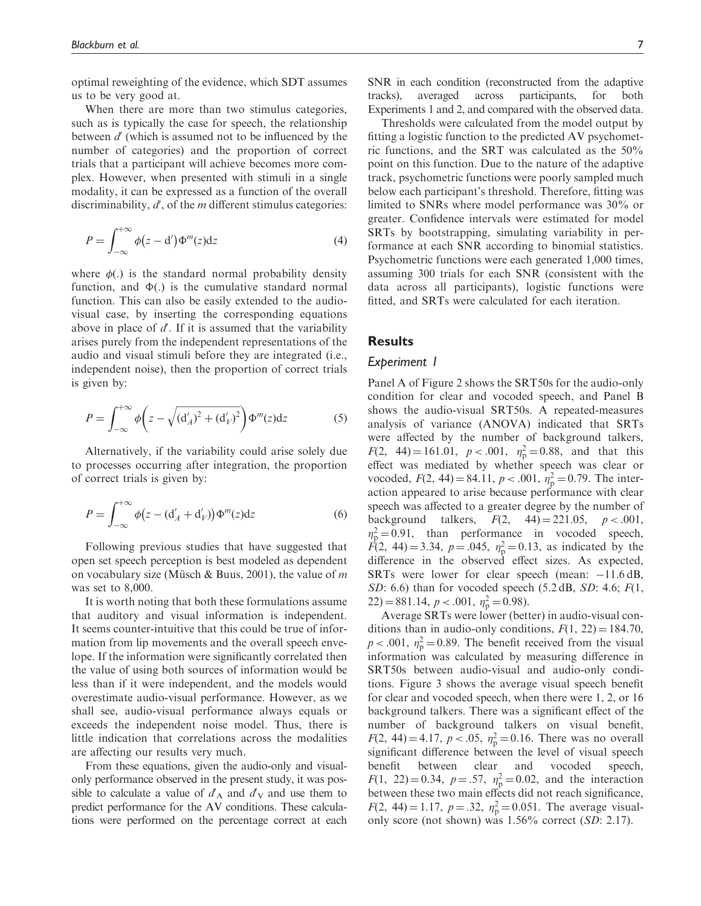optimal reweighting of the evidence, which SDT assumes us to be very good at.

When there are more than two stimulus categories, such as is typically the case for speech, the relationship between  $d'$  (which is assumed not to be influenced by the number of categories) and the proportion of correct trials that a participant will achieve becomes more complex. However, when presented with stimuli in a single modality, it can be expressed as a function of the overall discriminability,  $d'$ , of the m different stimulus categories:

$$
P = \int_{-\infty}^{+\infty} \phi(z - d') \Phi^{m}(z) dz
$$
 (4)

where  $\phi(.)$  is the standard normal probability density function, and  $\Phi(.)$  is the cumulative standard normal function. This can also be easily extended to the audiovisual case, by inserting the corresponding equations above in place of  $d'$ . If it is assumed that the variability arises purely from the independent representations of the audio and visual stimuli before they are integrated (i.e., independent noise), then the proportion of correct trials is given by:

$$
P = \int_{-\infty}^{+\infty} \phi \bigg( z - \sqrt{(d'_A)^2 + (d'_V)^2} \bigg) \Phi^m(z) dz \tag{5}
$$

Alternatively, if the variability could arise solely due to processes occurring after integration, the proportion of correct trials is given by:

$$
P = \int_{-\infty}^{+\infty} \phi(z - (d'_A + d'_V)) \Phi^m(z) dz
$$
 (6)

Following previous studies that have suggested that open set speech perception is best modeled as dependent on vocabulary size (Müsch & Buus, 2001), the value of m was set to 8,000.

It is worth noting that both these formulations assume that auditory and visual information is independent. It seems counter-intuitive that this could be true of information from lip movements and the overall speech envelope. If the information were significantly correlated then the value of using both sources of information would be less than if it were independent, and the models would overestimate audio-visual performance. However, as we shall see, audio-visual performance always equals or exceeds the independent noise model. Thus, there is little indication that correlations across the modalities are affecting our results very much.

From these equations, given the audio-only and visualonly performance observed in the present study, it was possible to calculate a value of  $d_A$  and  $d_V$  and use them to predict performance for the AV conditions. These calculations were performed on the percentage correct at each SNR in each condition (reconstructed from the adaptive tracks), averaged across participants, for both Experiments 1 and 2, and compared with the observed data.

Thresholds were calculated from the model output by fitting a logistic function to the predicted AV psychometric functions, and the SRT was calculated as the 50% point on this function. Due to the nature of the adaptive track, psychometric functions were poorly sampled much below each participant's threshold. Therefore, fitting was limited to SNRs where model performance was 30% or greater. Confidence intervals were estimated for model SRTs by bootstrapping, simulating variability in performance at each SNR according to binomial statistics. Psychometric functions were each generated 1,000 times, assuming 300 trials for each SNR (consistent with the data across all participants), logistic functions were fitted, and SRTs were calculated for each iteration.

## **Results**

#### Experiment 1

Panel A of Figure 2 shows the SRT50s for the audio-only condition for clear and vocoded speech, and Panel B shows the audio-visual SRT50s. A repeated-measures analysis of variance (ANOVA) indicated that SRTs were affected by the number of background talkers,  $F(2, 44) = 161.01, p < .001, \eta_p^2 = 0.88, \text{ and that this}$ effect was mediated by whether speech was clear or vocoded,  $F(2, 44) = 84.11$ ,  $p < .001$ ,  $\eta_p^2 = 0.79$ . The interaction appeared to arise because performance with clear speech was affected to a greater degree by the number of background talkers,  $F(2, 44) = 221.05, p < .001,$  $\eta_{\rm p}^2 = 0.91$ , than performance in vocoded speech,  $\vec{F}(2, 44) = 3.34, p = .045, \eta_p^2 = 0.13$ , as indicated by the difference in the observed effect sizes. As expected, SRTs were lower for clear speech (mean:  $-11.6 \text{ dB}$ , SD: 6.6) than for vocoded speech  $(5.2 \text{ dB}, SD: 4.6; F(1,$  $22) = 881.14, p < .001, \eta_p^2 = 0.98.$ 

Average SRTs were lower (better) in audio-visual conditions than in audio-only conditions,  $F(1, 22) = 184.70$ ,  $p < .001$ ,  $\eta_p^2 = 0.89$ . The benefit received from the visual information was calculated by measuring difference in SRT50s between audio-visual and audio-only conditions. Figure 3 shows the average visual speech benefit for clear and vocoded speech, when there were 1, 2, or 16 background talkers. There was a significant effect of the number of background talkers on visual benefit,  $F(2, 44) = 4.17, p < .05, \eta_p^2 = 0.16$ . There was no overall significant difference between the level of visual speech benefit between clear and vocoded speech,  $F(1, 22) = 0.34$ ,  $p = .57$ ,  $\eta_p^2 = 0.02$ , and the interaction between these two main effects did not reach significance,  $F(2, 44) = 1.17, p = .32, \eta_p^2 = 0.051$ . The average visualonly score (not shown) was 1.56% correct (SD: 2.17).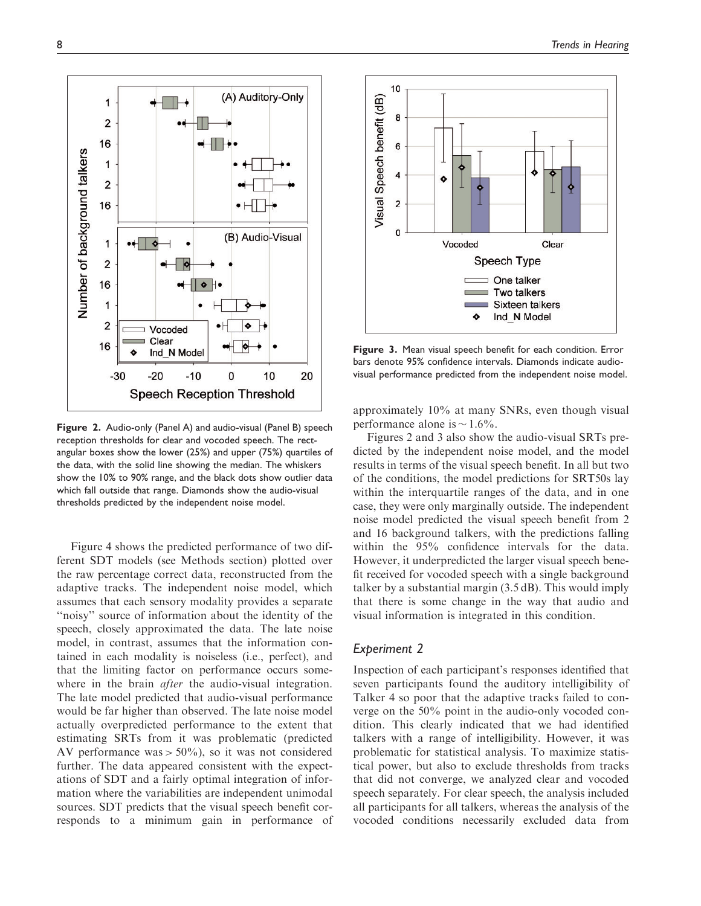

Figure 2. Audio-only (Panel A) and audio-visual (Panel B) speech reception thresholds for clear and vocoded speech. The rectangular boxes show the lower (25%) and upper (75%) quartiles of the data, with the solid line showing the median. The whiskers show the 10% to 90% range, and the black dots show outlier data which fall outside that range. Diamonds show the audio-visual thresholds predicted by the independent noise model.

Figure 4 shows the predicted performance of two different SDT models (see Methods section) plotted over the raw percentage correct data, reconstructed from the adaptive tracks. The independent noise model, which assumes that each sensory modality provides a separate ''noisy'' source of information about the identity of the speech, closely approximated the data. The late noise model, in contrast, assumes that the information contained in each modality is noiseless (i.e., perfect), and that the limiting factor on performance occurs somewhere in the brain *after* the audio-visual integration. The late model predicted that audio-visual performance would be far higher than observed. The late noise model actually overpredicted performance to the extent that estimating SRTs from it was problematic (predicted AV performance was  $> 50\%$ ), so it was not considered further. The data appeared consistent with the expectations of SDT and a fairly optimal integration of information where the variabilities are independent unimodal sources. SDT predicts that the visual speech benefit corresponds to a minimum gain in performance of



Figure 3. Mean visual speech benefit for each condition. Error bars denote 95% confidence intervals. Diamonds indicate audiovisual performance predicted from the independent noise model.

approximately 10% at many SNRs, even though visual performance alone is  $\sim$  1.6%.

Figures 2 and 3 also show the audio-visual SRTs predicted by the independent noise model, and the model results in terms of the visual speech benefit. In all but two of the conditions, the model predictions for SRT50s lay within the interquartile ranges of the data, and in one case, they were only marginally outside. The independent noise model predicted the visual speech benefit from 2 and 16 background talkers, with the predictions falling within the 95% confidence intervals for the data. However, it underpredicted the larger visual speech benefit received for vocoded speech with a single background talker by a substantial margin (3.5 dB). This would imply that there is some change in the way that audio and visual information is integrated in this condition.

# Experiment 2

Inspection of each participant's responses identified that seven participants found the auditory intelligibility of Talker 4 so poor that the adaptive tracks failed to converge on the 50% point in the audio-only vocoded condition. This clearly indicated that we had identified talkers with a range of intelligibility. However, it was problematic for statistical analysis. To maximize statistical power, but also to exclude thresholds from tracks that did not converge, we analyzed clear and vocoded speech separately. For clear speech, the analysis included all participants for all talkers, whereas the analysis of the vocoded conditions necessarily excluded data from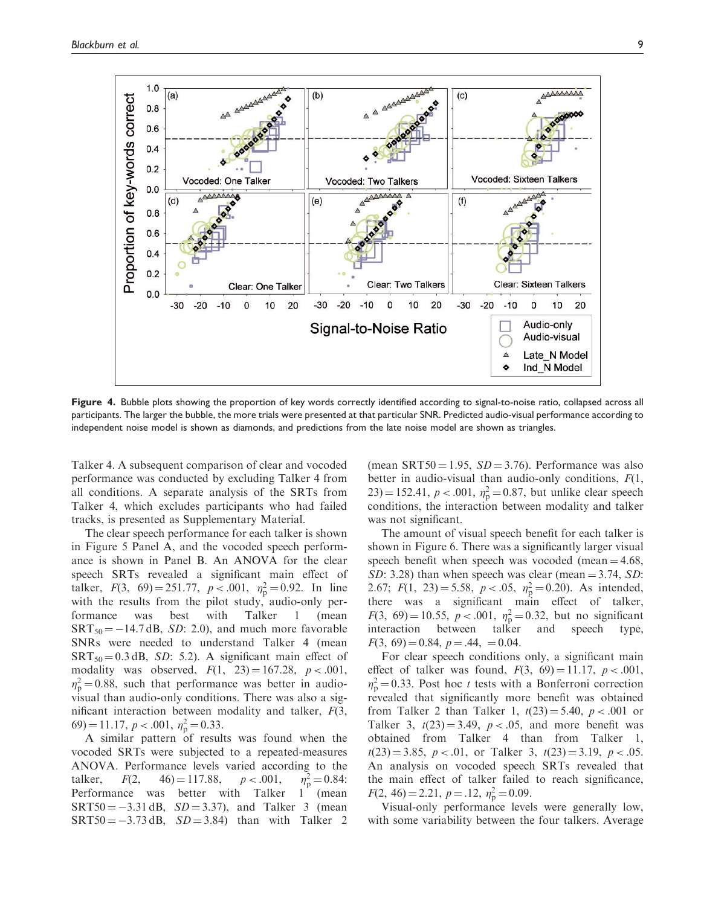

Figure 4. Bubble plots showing the proportion of key words correctly identified according to signal-to-noise ratio, collapsed across all participants. The larger the bubble, the more trials were presented at that particular SNR. Predicted audio-visual performance according to independent noise model is shown as diamonds, and predictions from the late noise model are shown as triangles.

Talker 4. A subsequent comparison of clear and vocoded performance was conducted by excluding Talker 4 from all conditions. A separate analysis of the SRTs from Talker 4, which excludes participants who had failed tracks, is presented as Supplementary Material.

The clear speech performance for each talker is shown in Figure 5 Panel A, and the vocoded speech performance is shown in Panel B. An ANOVA for the clear speech SRTs revealed a significant main effect of talker,  $F(3, 69) = 251.77, p < .001, \eta_p^2 = 0.92$ . In line with the results from the pilot study, audio-only performance was best with Talker 1 (mean  $SRT_{50} = -14.7$  dB, *SD*: 2.0), and much more favorable SNRs were needed to understand Talker 4 (mean  $SRT_{50} = 0.3$  dB, *SD*: 5.2). A significant main effect of modality was observed,  $F(1, 23) = 167.28, p < .001,$  $\eta_{\rm p}^2 = 0.88$ , such that performance was better in audiovisual than audio-only conditions. There was also a significant interaction between modality and talker,  $F(3)$ ,  $(69) = 11.17, p < .001, \eta_p^2 = 0.33.$ 

A similar pattern of results was found when the vocoded SRTs were subjected to a repeated-measures ANOVA. Performance levels varied according to the talker,  $F(2, 46) = 117.88, p < .001,$  $\eta_{\rm p}^2 = 0.84$ : Performance was better with Talker 1 (mean  $SRT50 = -3.31$  dB,  $SD = 3.37$ ), and Talker 3 (mean  $SRT50 = -3.73$  dB,  $SD = 3.84$ ) than with Talker 2 (mean  $SRT50 = 1.95$ ,  $SD = 3.76$ ). Performance was also better in audio-visual than audio-only conditions,  $F(1,$  $(23) = 152.41, p < .001, \eta_p^2 = 0.87$ , but unlike clear speech conditions, the interaction between modality and talker was not significant.

The amount of visual speech benefit for each talker is shown in Figure 6. There was a significantly larger visual speech benefit when speech was vocoded (mean  $=$  4.68, SD: 3.28) than when speech was clear (mean  $=$  3.74, SD: 2.67;  $F(1, 23) = 5.58$ ,  $p < .05$ ,  $\eta_p^2 = 0.20$ ). As intended, there was a significant main effect of talker,  $F(3, 69) = 10.55, p < .001, \eta_p^2 = 0.32$ , but no significant interaction between talker and speech type,  $F(3, 69) = 0.84, p = .44, = 0.04.$ 

For clear speech conditions only, a significant main effect of talker was found,  $F(3, 69) = 11.17, p < .001$ ,  $\eta_{\rm p}^2$  = 0.33. Post hoc t tests with a Bonferroni correction revealed that significantly more benefit was obtained from Talker 2 than Talker 1,  $t(23) = 5.40, p < .001$  or Talker 3,  $t(23) = 3.49$ ,  $p < .05$ , and more benefit was obtained from Talker 4 than from Talker 1,  $t(23) = 3.85$ ,  $p < .01$ , or Talker 3,  $t(23) = 3.19$ ,  $p < .05$ . An analysis on vocoded speech SRTs revealed that the main effect of talker failed to reach significance,  $F(2, 46) = 2.21, p = .12, \eta_p^2 = 0.09.$ 

Visual-only performance levels were generally low, with some variability between the four talkers. Average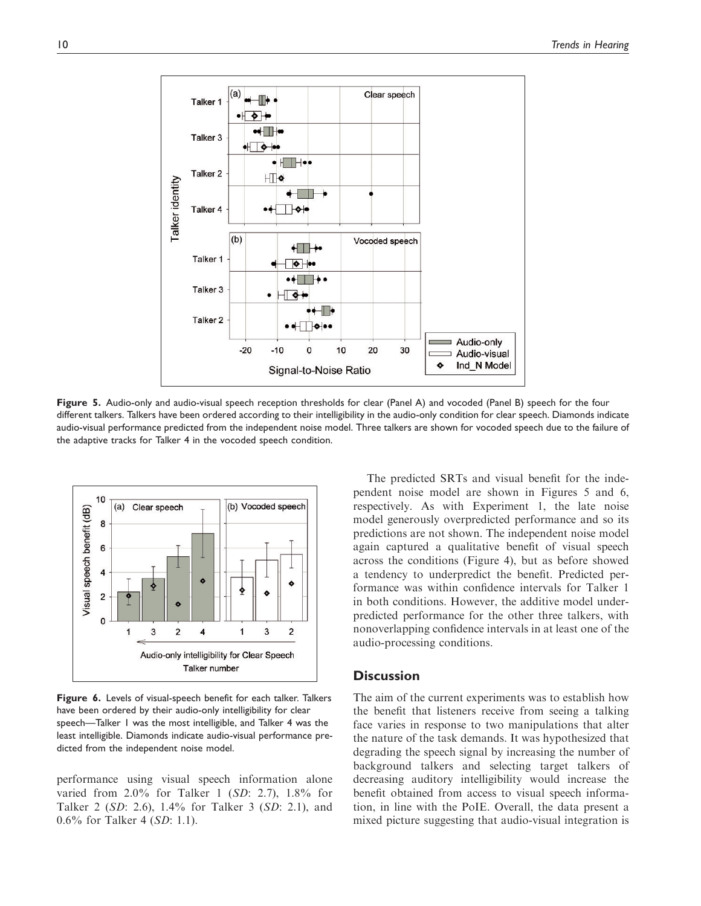

Figure 5. Audio-only and audio-visual speech reception thresholds for clear (Panel A) and vocoded (Panel B) speech for the four different talkers. Talkers have been ordered according to their intelligibility in the audio-only condition for clear speech. Diamonds indicate audio-visual performance predicted from the independent noise model. Three talkers are shown for vocoded speech due to the failure of the adaptive tracks for Talker 4 in the vocoded speech condition.



Figure 6. Levels of visual-speech benefit for each talker. Talkers have been ordered by their audio-only intelligibility for clear speech—Talker 1 was the most intelligible, and Talker 4 was the least intelligible. Diamonds indicate audio-visual performance predicted from the independent noise model.

performance using visual speech information alone varied from  $2.0\%$  for Talker 1 (SD: 2.7),  $1.8\%$  for Talker 2 (SD: 2.6), 1.4% for Talker 3 (SD: 2.1), and 0.6% for Talker 4 (SD: 1.1).

The predicted SRTs and visual benefit for the independent noise model are shown in Figures 5 and 6, respectively. As with Experiment 1, the late noise model generously overpredicted performance and so its predictions are not shown. The independent noise model again captured a qualitative benefit of visual speech across the conditions (Figure 4), but as before showed a tendency to underpredict the benefit. Predicted performance was within confidence intervals for Talker 1 in both conditions. However, the additive model underpredicted performance for the other three talkers, with nonoverlapping confidence intervals in at least one of the audio-processing conditions.

# **Discussion**

The aim of the current experiments was to establish how the benefit that listeners receive from seeing a talking face varies in response to two manipulations that alter the nature of the task demands. It was hypothesized that degrading the speech signal by increasing the number of background talkers and selecting target talkers of decreasing auditory intelligibility would increase the benefit obtained from access to visual speech information, in line with the PoIE. Overall, the data present a mixed picture suggesting that audio-visual integration is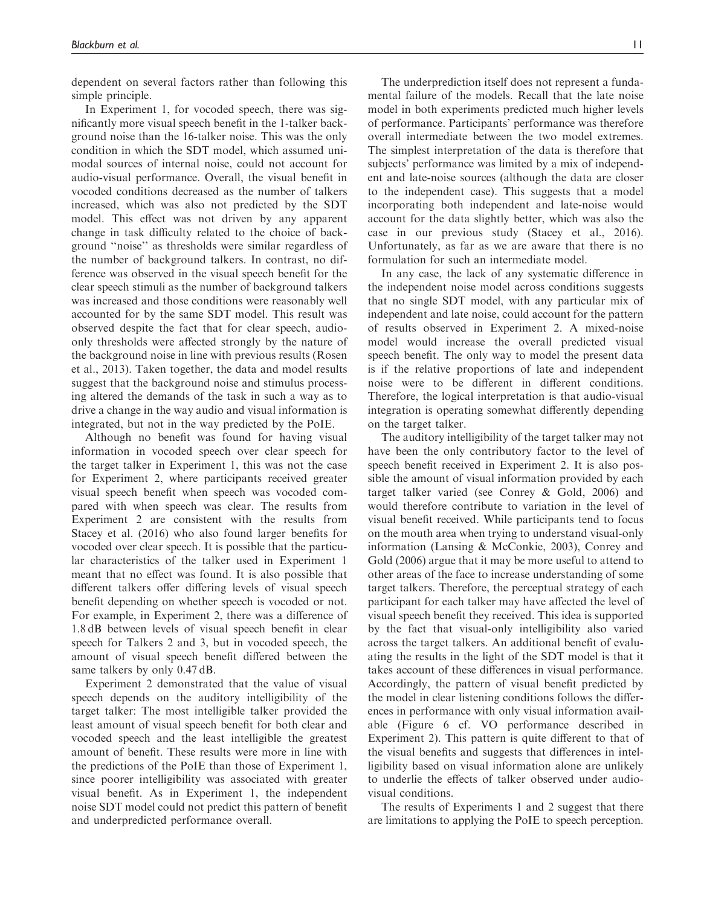dependent on several factors rather than following this simple principle.

In Experiment 1, for vocoded speech, there was significantly more visual speech benefit in the 1-talker background noise than the 16-talker noise. This was the only condition in which the SDT model, which assumed unimodal sources of internal noise, could not account for audio-visual performance. Overall, the visual benefit in vocoded conditions decreased as the number of talkers increased, which was also not predicted by the SDT model. This effect was not driven by any apparent change in task difficulty related to the choice of background ''noise'' as thresholds were similar regardless of the number of background talkers. In contrast, no difference was observed in the visual speech benefit for the clear speech stimuli as the number of background talkers was increased and those conditions were reasonably well accounted for by the same SDT model. This result was observed despite the fact that for clear speech, audioonly thresholds were affected strongly by the nature of the background noise in line with previous results (Rosen et al., 2013). Taken together, the data and model results suggest that the background noise and stimulus processing altered the demands of the task in such a way as to drive a change in the way audio and visual information is integrated, but not in the way predicted by the PoIE.

Although no benefit was found for having visual information in vocoded speech over clear speech for the target talker in Experiment 1, this was not the case for Experiment 2, where participants received greater visual speech benefit when speech was vocoded compared with when speech was clear. The results from Experiment 2 are consistent with the results from Stacey et al. (2016) who also found larger benefits for vocoded over clear speech. It is possible that the particular characteristics of the talker used in Experiment 1 meant that no effect was found. It is also possible that different talkers offer differing levels of visual speech benefit depending on whether speech is vocoded or not. For example, in Experiment 2, there was a difference of 1.8 dB between levels of visual speech benefit in clear speech for Talkers 2 and 3, but in vocoded speech, the amount of visual speech benefit differed between the same talkers by only 0.47 dB.

Experiment 2 demonstrated that the value of visual speech depends on the auditory intelligibility of the target talker: The most intelligible talker provided the least amount of visual speech benefit for both clear and vocoded speech and the least intelligible the greatest amount of benefit. These results were more in line with the predictions of the PoIE than those of Experiment 1, since poorer intelligibility was associated with greater visual benefit. As in Experiment 1, the independent noise SDT model could not predict this pattern of benefit and underpredicted performance overall.

The underprediction itself does not represent a fundamental failure of the models. Recall that the late noise model in both experiments predicted much higher levels of performance. Participants' performance was therefore overall intermediate between the two model extremes. The simplest interpretation of the data is therefore that subjects' performance was limited by a mix of independent and late-noise sources (although the data are closer to the independent case). This suggests that a model incorporating both independent and late-noise would account for the data slightly better, which was also the case in our previous study (Stacey et al., 2016). Unfortunately, as far as we are aware that there is no formulation for such an intermediate model.

In any case, the lack of any systematic difference in the independent noise model across conditions suggests that no single SDT model, with any particular mix of independent and late noise, could account for the pattern of results observed in Experiment 2. A mixed-noise model would increase the overall predicted visual speech benefit. The only way to model the present data is if the relative proportions of late and independent noise were to be different in different conditions. Therefore, the logical interpretation is that audio-visual integration is operating somewhat differently depending on the target talker.

The auditory intelligibility of the target talker may not have been the only contributory factor to the level of speech benefit received in Experiment 2. It is also possible the amount of visual information provided by each target talker varied (see Conrey & Gold, 2006) and would therefore contribute to variation in the level of visual benefit received. While participants tend to focus on the mouth area when trying to understand visual-only information (Lansing & McConkie, 2003), Conrey and Gold (2006) argue that it may be more useful to attend to other areas of the face to increase understanding of some target talkers. Therefore, the perceptual strategy of each participant for each talker may have affected the level of visual speech benefit they received. This idea is supported by the fact that visual-only intelligibility also varied across the target talkers. An additional benefit of evaluating the results in the light of the SDT model is that it takes account of these differences in visual performance. Accordingly, the pattern of visual benefit predicted by the model in clear listening conditions follows the differences in performance with only visual information available (Figure 6 cf. VO performance described in Experiment 2). This pattern is quite different to that of the visual benefits and suggests that differences in intelligibility based on visual information alone are unlikely to underlie the effects of talker observed under audiovisual conditions.

The results of Experiments 1 and 2 suggest that there are limitations to applying the PoIE to speech perception.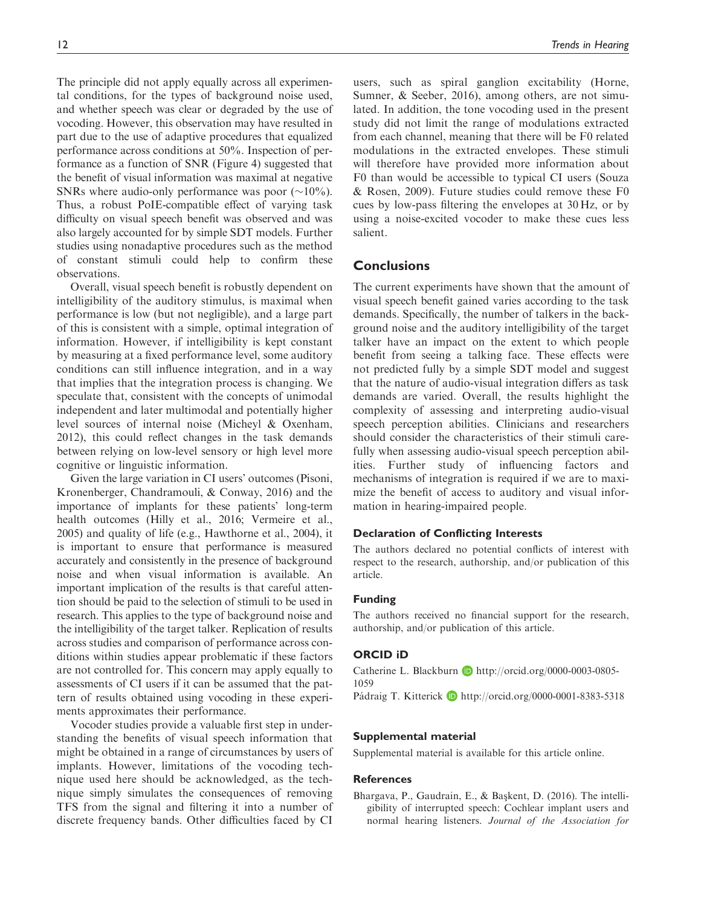The principle did not apply equally across all experimental conditions, for the types of background noise used, and whether speech was clear or degraded by the use of vocoding. However, this observation may have resulted in part due to the use of adaptive procedures that equalized performance across conditions at 50%. Inspection of performance as a function of SNR (Figure 4) suggested that the benefit of visual information was maximal at negative SNRs where audio-only performance was poor  $(\sim 10\%)$ . Thus, a robust PoIE-compatible effect of varying task difficulty on visual speech benefit was observed and was also largely accounted for by simple SDT models. Further studies using nonadaptive procedures such as the method of constant stimuli could help to confirm these observations.

Overall, visual speech benefit is robustly dependent on intelligibility of the auditory stimulus, is maximal when performance is low (but not negligible), and a large part of this is consistent with a simple, optimal integration of information. However, if intelligibility is kept constant by measuring at a fixed performance level, some auditory conditions can still influence integration, and in a way that implies that the integration process is changing. We speculate that, consistent with the concepts of unimodal independent and later multimodal and potentially higher level sources of internal noise (Micheyl & Oxenham, 2012), this could reflect changes in the task demands between relying on low-level sensory or high level more cognitive or linguistic information.

Given the large variation in CI users' outcomes (Pisoni, Kronenberger, Chandramouli, & Conway, 2016) and the importance of implants for these patients' long-term health outcomes (Hilly et al., 2016; Vermeire et al., 2005) and quality of life (e.g., Hawthorne et al., 2004), it is important to ensure that performance is measured accurately and consistently in the presence of background noise and when visual information is available. An important implication of the results is that careful attention should be paid to the selection of stimuli to be used in research. This applies to the type of background noise and the intelligibility of the target talker. Replication of results across studies and comparison of performance across conditions within studies appear problematic if these factors are not controlled for. This concern may apply equally to assessments of CI users if it can be assumed that the pattern of results obtained using vocoding in these experiments approximates their performance.

Vocoder studies provide a valuable first step in understanding the benefits of visual speech information that might be obtained in a range of circumstances by users of implants. However, limitations of the vocoding technique used here should be acknowledged, as the technique simply simulates the consequences of removing TFS from the signal and filtering it into a number of discrete frequency bands. Other difficulties faced by CI

users, such as spiral ganglion excitability (Horne, Sumner, & Seeber, 2016), among others, are not simulated. In addition, the tone vocoding used in the present study did not limit the range of modulations extracted from each channel, meaning that there will be F0 related modulations in the extracted envelopes. These stimuli will therefore have provided more information about F0 than would be accessible to typical CI users (Souza & Rosen, 2009). Future studies could remove these F0 cues by low-pass filtering the envelopes at 30 Hz, or by using a noise-excited vocoder to make these cues less salient.

## **Conclusions**

The current experiments have shown that the amount of visual speech benefit gained varies according to the task demands. Specifically, the number of talkers in the background noise and the auditory intelligibility of the target talker have an impact on the extent to which people benefit from seeing a talking face. These effects were not predicted fully by a simple SDT model and suggest that the nature of audio-visual integration differs as task demands are varied. Overall, the results highlight the complexity of assessing and interpreting audio-visual speech perception abilities. Clinicians and researchers should consider the characteristics of their stimuli carefully when assessing audio-visual speech perception abilities. Further study of influencing factors and mechanisms of integration is required if we are to maximize the benefit of access to auditory and visual information in hearing-impaired people.

#### Declaration of Conflicting Interests

The authors declared no potential conflicts of interest with respect to the research, authorship, and/or publication of this article.

#### Funding

The authors received no financial support for the research, authorship, and/or publication of this article.

## ORCID iD

Catherine L. Blackburn **D** http://orcid.org/0000-0003-0805-1059 Pádraig T. Kitterick  $\blacksquare$  http://orcid.org/0000-0001-8383-5318

## Supplemental material

Supplemental material is available for this article online.

## **References**

Bhargava, P., Gaudrain, E., & Başkent, D. (2016). The intelligibility of interrupted speech: Cochlear implant users and normal hearing listeners. Journal of the Association for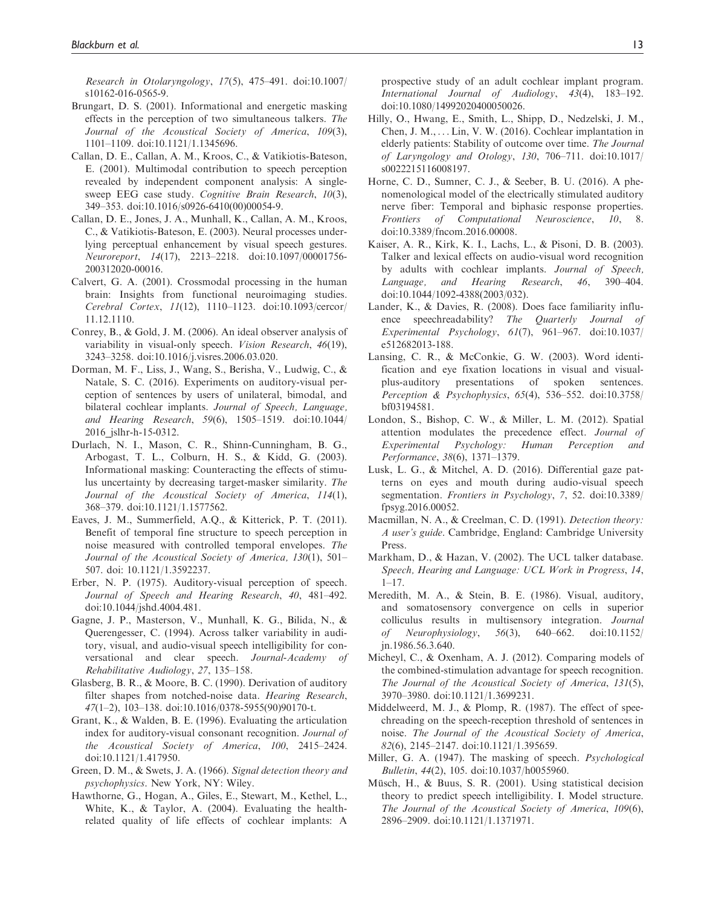Research in Otolaryngology, 17(5), 475–491. doi:10.1007/ s10162-016-0565-9.

- Brungart, D. S. (2001). Informational and energetic masking effects in the perception of two simultaneous talkers. The Journal of the Acoustical Society of America, 109(3), 1101–1109. doi:10.1121/1.1345696.
- Callan, D. E., Callan, A. M., Kroos, C., & Vatikiotis-Bateson, E. (2001). Multimodal contribution to speech perception revealed by independent component analysis: A singlesweep EEG case study. Cognitive Brain Research, 10(3), 349–353. doi:10.1016/s0926-6410(00)00054-9.
- Callan, D. E., Jones, J. A., Munhall, K., Callan, A. M., Kroos, C., & Vatikiotis-Bateson, E. (2003). Neural processes underlying perceptual enhancement by visual speech gestures. Neuroreport, 14(17), 2213–2218. doi:10.1097/00001756- 200312020-00016.
- Calvert, G. A. (2001). Crossmodal processing in the human brain: Insights from functional neuroimaging studies. Cerebral Cortex, 11(12), 1110–1123. doi:10.1093/cercor/ 11.12.1110.
- Conrey, B., & Gold, J. M. (2006). An ideal observer analysis of variability in visual-only speech. Vision Research, 46(19), 3243–3258. doi:10.1016/j.visres.2006.03.020.
- Dorman, M. F., Liss, J., Wang, S., Berisha, V., Ludwig, C., & Natale, S. C. (2016). Experiments on auditory-visual perception of sentences by users of unilateral, bimodal, and bilateral cochlear implants. Journal of Speech, Language, and Hearing Research, 59(6), 1505–1519. doi:10.1044/ 2016\_jslhr-h-15-0312.
- Durlach, N. I., Mason, C. R., Shinn-Cunningham, B. G., Arbogast, T. L., Colburn, H. S., & Kidd, G. (2003). Informational masking: Counteracting the effects of stimulus uncertainty by decreasing target-masker similarity. The Journal of the Acoustical Society of America, 114(1), 368–379. doi:10.1121/1.1577562.
- Eaves, J. M., Summerfield, A.Q., & Kitterick, P. T. (2011). Benefit of temporal fine structure to speech perception in noise measured with controlled temporal envelopes. The Journal of the Acoustical Society of America, 130(1), 501– 507. doi: 10.1121/1.3592237.
- Erber, N. P. (1975). Auditory-visual perception of speech. Journal of Speech and Hearing Research, 40, 481–492. doi:10.1044/jshd.4004.481.
- Gagne, J. P., Masterson, V., Munhall, K. G., Bilida, N., & Querengesser, C. (1994). Across talker variability in auditory, visual, and audio-visual speech intelligibility for conversational and clear speech. Journal-Academy of Rehabilitative Audiology, 27, 135–158.
- Glasberg, B. R., & Moore, B. C. (1990). Derivation of auditory filter shapes from notched-noise data. Hearing Research, 47(1–2), 103–138. doi:10.1016/0378-5955(90)90170-t.
- Grant, K., & Walden, B. E. (1996). Evaluating the articulation index for auditory-visual consonant recognition. Journal of the Acoustical Society of America, 100, 2415–2424. doi:10.1121/1.417950.
- Green, D. M., & Swets, J. A. (1966). Signal detection theory and psychophysics. New York, NY: Wiley.
- Hawthorne, G., Hogan, A., Giles, E., Stewart, M., Kethel, L., White, K., & Taylor, A. (2004). Evaluating the healthrelated quality of life effects of cochlear implants: A

prospective study of an adult cochlear implant program. International Journal of Audiology, 43(4), 183–192. doi:10.1080/14992020400050026.

- Hilly, O., Hwang, E., Smith, L., Shipp, D., Nedzelski, J. M., Chen, J. M., ...Lin, V. W. (2016). Cochlear implantation in elderly patients: Stability of outcome over time. The Journal of Laryngology and Otology, 130, 706–711. doi:10.1017/ s0022215116008197.
- Horne, C. D., Sumner, C. J., & Seeber, B. U. (2016). A phenomenological model of the electrically stimulated auditory nerve fiber: Temporal and biphasic response properties. Frontiers of Computational Neuroscience, 10, 8. doi:10.3389/fncom.2016.00008.
- Kaiser, A. R., Kirk, K. I., Lachs, L., & Pisoni, D. B. (2003). Talker and lexical effects on audio-visual word recognition by adults with cochlear implants. Journal of Speech, Language, and Hearing Research, 46, 390–404. doi:10.1044/1092-4388(2003/032).
- Lander, K., & Davies, R. (2008). Does face familiarity influence speechreadability? The Quarterly Journal of Experimental Psychology, 61(7), 961–967. doi:10.1037/ e512682013-188.
- Lansing, C. R., & McConkie, G. W. (2003). Word identification and eye fixation locations in visual and visualplus-auditory presentations of spoken sentences. Perception & Psychophysics, 65(4), 536–552. doi:10.3758/ bf03194581.
- London, S., Bishop, C. W., & Miller, L. M. (2012). Spatial attention modulates the precedence effect. Journal of Experimental Psychology: Human Perception and Performance, 38(6), 1371–1379.
- Lusk, L. G., & Mitchel, A. D. (2016). Differential gaze patterns on eyes and mouth during audio-visual speech segmentation. Frontiers in Psychology, 7, 52. doi:10.3389/ fpsyg.2016.00052.
- Macmillan, N. A., & Creelman, C. D. (1991). Detection theory: A user's guide. Cambridge, England: Cambridge University Press.
- Markham, D., & Hazan, V. (2002). The UCL talker database. Speech, Hearing and Language: UCL Work in Progress, 14,  $1 - 17$ .
- Meredith, M. A., & Stein, B. E. (1986). Visual, auditory, and somatosensory convergence on cells in superior colliculus results in multisensory integration. Journal of Neurophysiology, 56(3), 640–662. doi:10.1152/ jn.1986.56.3.640.
- Micheyl, C., & Oxenham, A. J. (2012). Comparing models of the combined-stimulation advantage for speech recognition. The Journal of the Acoustical Society of America, 131(5), 3970–3980. doi:10.1121/1.3699231.
- Middelweerd, M. J., & Plomp, R. (1987). The effect of speechreading on the speech-reception threshold of sentences in noise. The Journal of the Acoustical Society of America, 82(6), 2145–2147. doi:10.1121/1.395659.
- Miller, G. A. (1947). The masking of speech. Psychological Bulletin, 44(2), 105. doi:10.1037/h0055960.
- Müsch, H., & Buus, S. R. (2001). Using statistical decision theory to predict speech intelligibility. I. Model structure. The Journal of the Acoustical Society of America, 109(6), 2896–2909. doi:10.1121/1.1371971.